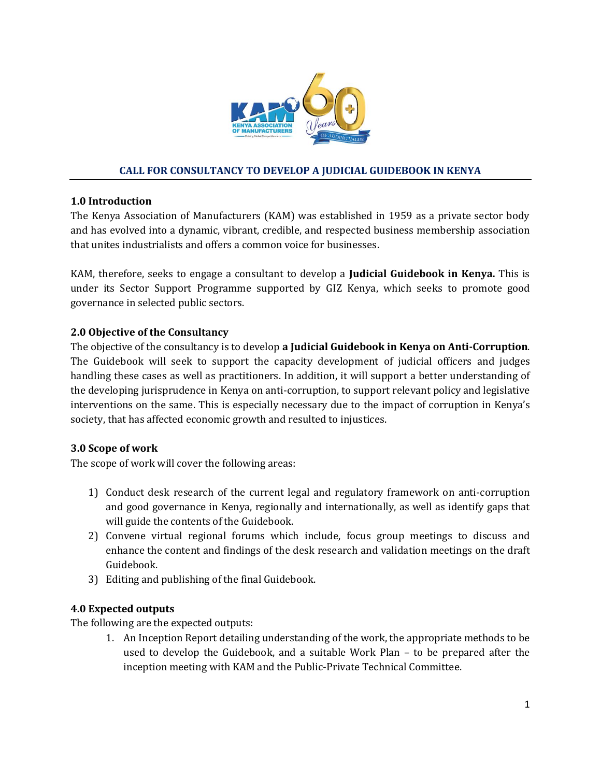

# **CALL FOR CONSULTANCY TO DEVELOP A JUDICIAL GUIDEBOOK IN KENYA**

### **1.0 Introduction**

The Kenya Association of Manufacturers (KAM) was established in 1959 as a private sector body and has evolved into a dynamic, vibrant, credible, and respected business membership association that unites industrialists and offers a common voice for businesses.

KAM, therefore, seeks to engage a consultant to develop a **Judicial Guidebook in Kenya.** This is under its Sector Support Programme supported by GIZ Kenya, which seeks to promote good governance in selected public sectors.

## **2.0 Objective of the Consultancy**

The objective of the consultancy is to develop **a Judicial Guidebook in Kenya on Anti-Corruption**. The Guidebook will seek to support the capacity development of judicial officers and judges handling these cases as well as practitioners. In addition, it will support a better understanding of the developing jurisprudence in Kenya on anti-corruption, to support relevant policy and legislative interventions on the same. This is especially necessary due to the impact of corruption in Kenya's society, that has affected economic growth and resulted to injustices.

## **3.0 Scope of work**

The scope of work will cover the following areas:

- 1) Conduct desk research of the current legal and regulatory framework on anti-corruption and good governance in Kenya, regionally and internationally, as well as identify gaps that will guide the contents of the Guidebook.
- 2) Convene virtual regional forums which include, focus group meetings to discuss and enhance the content and findings of the desk research and validation meetings on the draft Guidebook.
- 3) Editing and publishing of the final Guidebook.

## **4.0 Expected outputs**

The following are the expected outputs:

1. An Inception Report detailing understanding of the work, the appropriate methods to be used to develop the Guidebook, and a suitable Work Plan – to be prepared after the inception meeting with KAM and the Public-Private Technical Committee.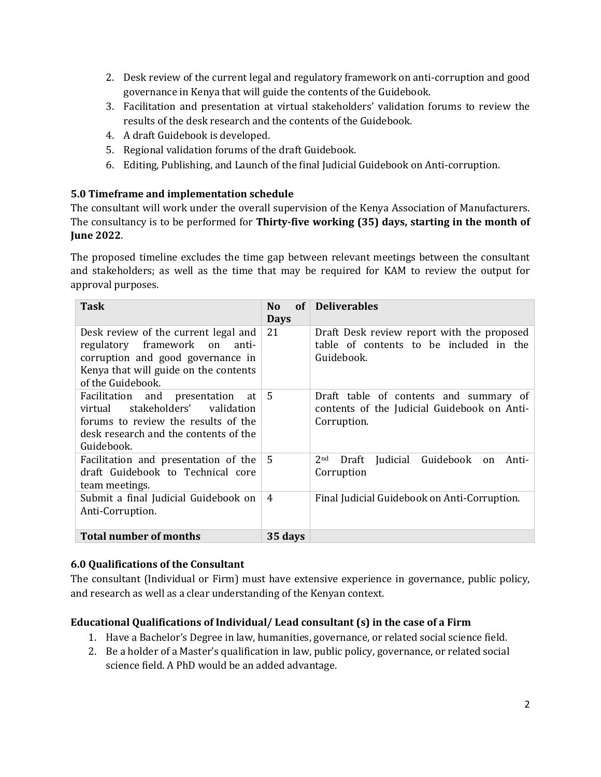- 2. Desk review of the current legal and regulatory framework on anti-corruption and good governance in Kenya that will guide the contents of the Guidebook.
- 3. Facilitation and presentation at virtual stakeholders' validation forums to review the results of the desk research and the contents of the Guidebook.
- 4. A draft Guidebook is developed.
- 5. Regional validation forums of the draft Guidebook.
- 6. Editing, Publishing, and Launch of the final Judicial Guidebook on Anti-corruption.

# **5.0 Timeframe and implementation schedule**

The consultant will work under the overall supervision of the Kenya Association of Manufacturers. The consultancy is to be performed for **Thirty-five working (35) days, starting in the month of June 2022**.

The proposed timeline excludes the time gap between relevant meetings between the consultant and stakeholders; as well as the time that may be required for KAM to review the output for approval purposes.

| <b>Task</b>                                                                                                                                                                 | of<br>N <sub>0</sub><br><b>Days</b> | <b>Deliverables</b>                                                                                  |
|-----------------------------------------------------------------------------------------------------------------------------------------------------------------------------|-------------------------------------|------------------------------------------------------------------------------------------------------|
| Desk review of the current legal and<br>regulatory framework on<br>anti-<br>corruption and good governance in<br>Kenya that will guide on the contents<br>of the Guidebook. | 21                                  | Draft Desk review report with the proposed<br>table of contents to be included in the<br>Guidebook.  |
| Facilitation and presentation<br>at<br>stakeholders'<br>validation<br>virtual<br>forums to review the results of the<br>desk research and the contents of the<br>Guidebook. | -5                                  | Draft table of contents and summary of<br>contents of the Judicial Guidebook on Anti-<br>Corruption. |
| Facilitation and presentation of the<br>draft Guidebook to Technical core<br>team meetings.                                                                                 | 5                                   | Guidebook<br>Judicial<br>2 <sub>nd</sub><br>Draft<br>Anti-<br>on<br>Corruption                       |
| Submit a final Judicial Guidebook on<br>Anti-Corruption.                                                                                                                    | $\overline{4}$                      | Final Judicial Guidebook on Anti-Corruption.                                                         |
| <b>Total number of months</b>                                                                                                                                               | 35 days                             |                                                                                                      |

## **6.0 Qualifications of the Consultant**

The consultant (Individual or Firm) must have extensive experience in governance, public policy, and research as well as a clear understanding of the Kenyan context.

# **Educational Qualifications of Individual/ Lead consultant (s) in the case of a Firm**

- 1. Have a Bachelor's Degree in law, humanities, governance, or related social science field.
- 2. Be a holder of a Master's qualification in law, public policy, governance, or related social science field. A PhD would be an added advantage.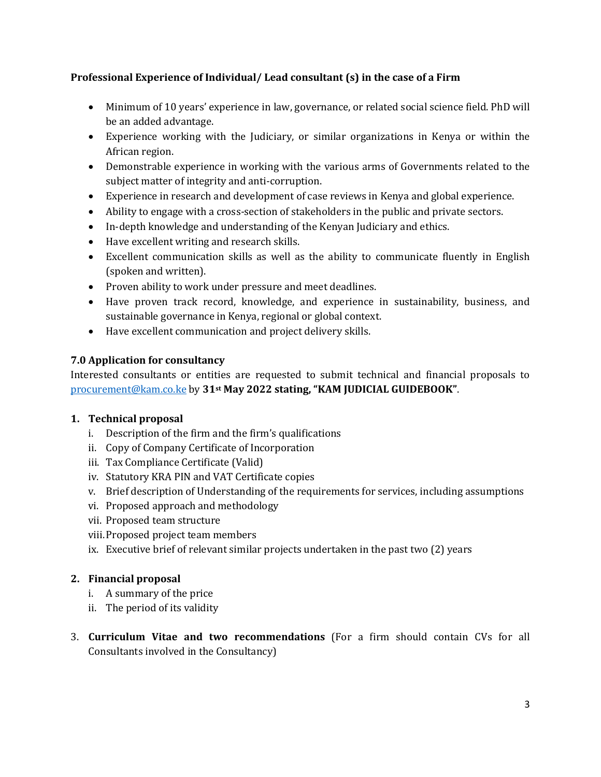# **Professional Experience of Individual/ Lead consultant (s) in the case of a Firm**

- Minimum of 10 years' experience in law, governance, or related social science field. PhD will be an added advantage.
- Experience working with the Judiciary, or similar organizations in Kenya or within the African region.
- Demonstrable experience in working with the various arms of Governments related to the subject matter of integrity and anti-corruption.
- Experience in research and development of case reviews in Kenya and global experience.
- Ability to engage with a cross-section of stakeholders in the public and private sectors.
- In-depth knowledge and understanding of the Kenyan Judiciary and ethics.
- Have excellent writing and research skills.
- Excellent communication skills as well as the ability to communicate fluently in English (spoken and written).
- Proven ability to work under pressure and meet deadlines.
- Have proven track record, knowledge, and experience in sustainability, business, and sustainable governance in Kenya, regional or global context.
- Have excellent communication and project delivery skills.

## **7.0 Application for consultancy**

Interested consultants or entities are requested to submit technical and financial proposals to [procurement@kam.co.ke](mailto:procurement@kam.co.ke) by **31st May 2022 stating, "KAM JUDICIAL GUIDEBOOK"**.

## **1. Technical proposal**

- i. Description of the firm and the firm's qualifications
- ii. Copy of Company Certificate of Incorporation
- iii. Tax Compliance Certificate (Valid)
- iv. Statutory KRA PIN and VAT Certificate copies
- v. Brief description of Understanding of the requirements for services, including assumptions
- vi. Proposed approach and methodology
- vii. Proposed team structure
- viii.Proposed project team members
- ix. Executive brief of relevant similar projects undertaken in the past two (2) years

## **2. Financial proposal**

- i. A summary of the price
- ii. The period of its validity
- 3. **Curriculum Vitae and two recommendations** (For a firm should contain CVs for all Consultants involved in the Consultancy)